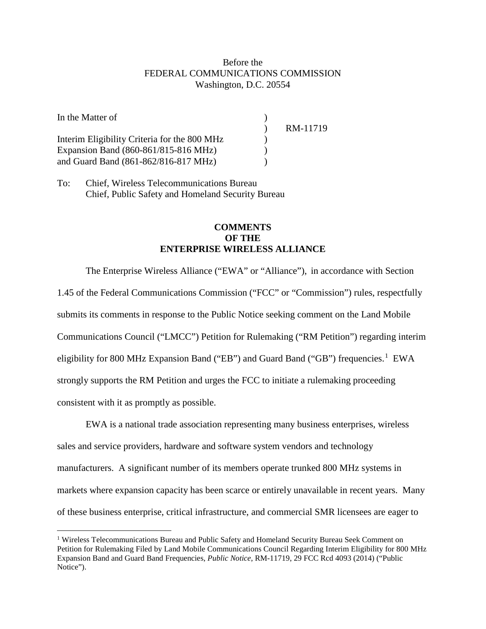## Before the FEDERAL COMMUNICATIONS COMMISSION Washington, D.C. 20554

| In the Matter of                             |          |
|----------------------------------------------|----------|
|                                              | RM-11719 |
| Interim Eligibility Criteria for the 800 MHz |          |
| Expansion Band (860-861/815-816 MHz)         |          |
| and Guard Band (861-862/816-817 MHz)         |          |

To: Chief, Wireless Telecommunications Bureau Chief, Public Safety and Homeland Security Bureau

 $\overline{a}$ 

## **COMMENTS OF THE ENTERPRISE WIRELESS ALLIANCE**

The Enterprise Wireless Alliance ("EWA" or "Alliance"), in accordance with Section 1.45 of the Federal Communications Commission ("FCC" or "Commission") rules, respectfully submits its comments in response to the Public Notice seeking comment on the Land Mobile Communications Council ("LMCC") Petition for Rulemaking ("RM Petition") regarding interim eligibility for 800 MHz Expansion Band ("EB") and Guard Band ("GB") frequencies.<sup>[1](#page-0-0)</sup> EWA strongly supports the RM Petition and urges the FCC to initiate a rulemaking proceeding consistent with it as promptly as possible.

EWA is a national trade association representing many business enterprises, wireless sales and service providers, hardware and software system vendors and technology manufacturers. A significant number of its members operate trunked 800 MHz systems in markets where expansion capacity has been scarce or entirely unavailable in recent years. Many of these business enterprise, critical infrastructure, and commercial SMR licensees are eager to

<span id="page-0-0"></span><sup>&</sup>lt;sup>1</sup> Wireless Telecommunications Bureau and Public Safety and Homeland Security Bureau Seek Comment on Petition for Rulemaking Filed by Land Mobile Communications Council Regarding Interim Eligibility for 800 MHz Expansion Band and Guard Band Frequencies, *Public Notice*, RM-11719, 29 FCC Rcd 4093 (2014) ("Public Notice").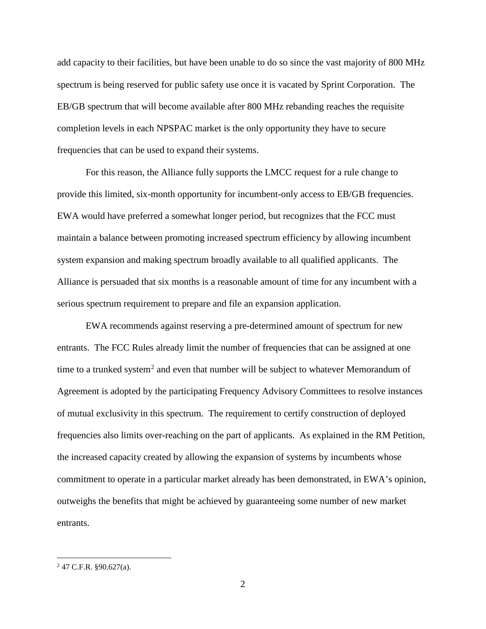add capacity to their facilities, but have been unable to do so since the vast majority of 800 MHz spectrum is being reserved for public safety use once it is vacated by Sprint Corporation. The EB/GB spectrum that will become available after 800 MHz rebanding reaches the requisite completion levels in each NPSPAC market is the only opportunity they have to secure frequencies that can be used to expand their systems.

For this reason, the Alliance fully supports the LMCC request for a rule change to provide this limited, six-month opportunity for incumbent-only access to EB/GB frequencies. EWA would have preferred a somewhat longer period, but recognizes that the FCC must maintain a balance between promoting increased spectrum efficiency by allowing incumbent system expansion and making spectrum broadly available to all qualified applicants. The Alliance is persuaded that six months is a reasonable amount of time for any incumbent with a serious spectrum requirement to prepare and file an expansion application.

EWA recommends against reserving a pre-determined amount of spectrum for new entrants. The FCC Rules already limit the number of frequencies that can be assigned at one time to a trunked system<sup>[2](#page-1-0)</sup> and even that number will be subject to whatever Memorandum of Agreement is adopted by the participating Frequency Advisory Committees to resolve instances of mutual exclusivity in this spectrum. The requirement to certify construction of deployed frequencies also limits over-reaching on the part of applicants. As explained in the RM Petition, the increased capacity created by allowing the expansion of systems by incumbents whose commitment to operate in a particular market already has been demonstrated, in EWA's opinion, outweighs the benefits that might be achieved by guaranteeing some number of new market entrants.

 $\overline{a}$ 

<span id="page-1-0"></span><sup>2</sup> 47 C.F.R. §90.627(a).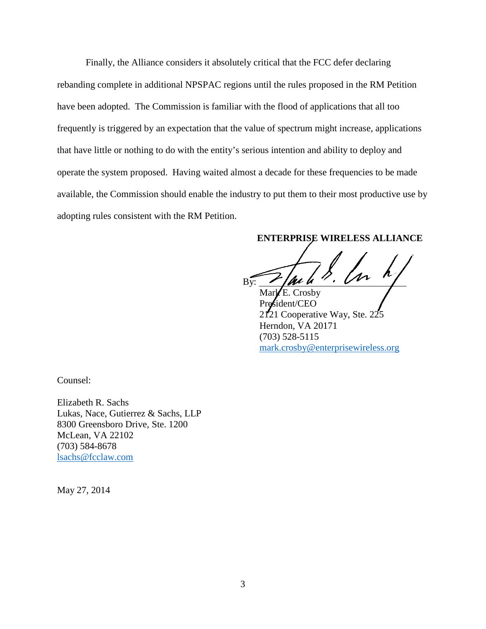Finally, the Alliance considers it absolutely critical that the FCC defer declaring rebanding complete in additional NPSPAC regions until the rules proposed in the RM Petition have been adopted. The Commission is familiar with the flood of applications that all too frequently is triggered by an expectation that the value of spectrum might increase, applications that have little or nothing to do with the entity's serious intention and ability to deploy and operate the system proposed. Having waited almost a decade for these frequencies to be made available, the Commission should enable the industry to put them to their most productive use by adopting rules consistent with the RM Petition.

**ENTERPRISE WIRELESS ALLIANCE**

By:  $\sqrt{\mu u} u'' \cdot \sqrt{v}$ 

Mar $\n E$ . Crosby ident/CEO 2121 Cooperative Way, Ste. 225 Herndon, VA 20171 (703) 528-5115 [mark.crosby@enterprisewireless.org](mailto:mark.crosby@enterprisewireless.org)

Counsel:

Elizabeth R. Sachs Lukas, Nace, Gutierrez & Sachs, LLP 8300 Greensboro Drive, Ste. 1200 McLean, VA 22102 (703) 584-8678 [lsachs@fcclaw.com](mailto:lsachs@fcclaw.com)

May 27, 2014